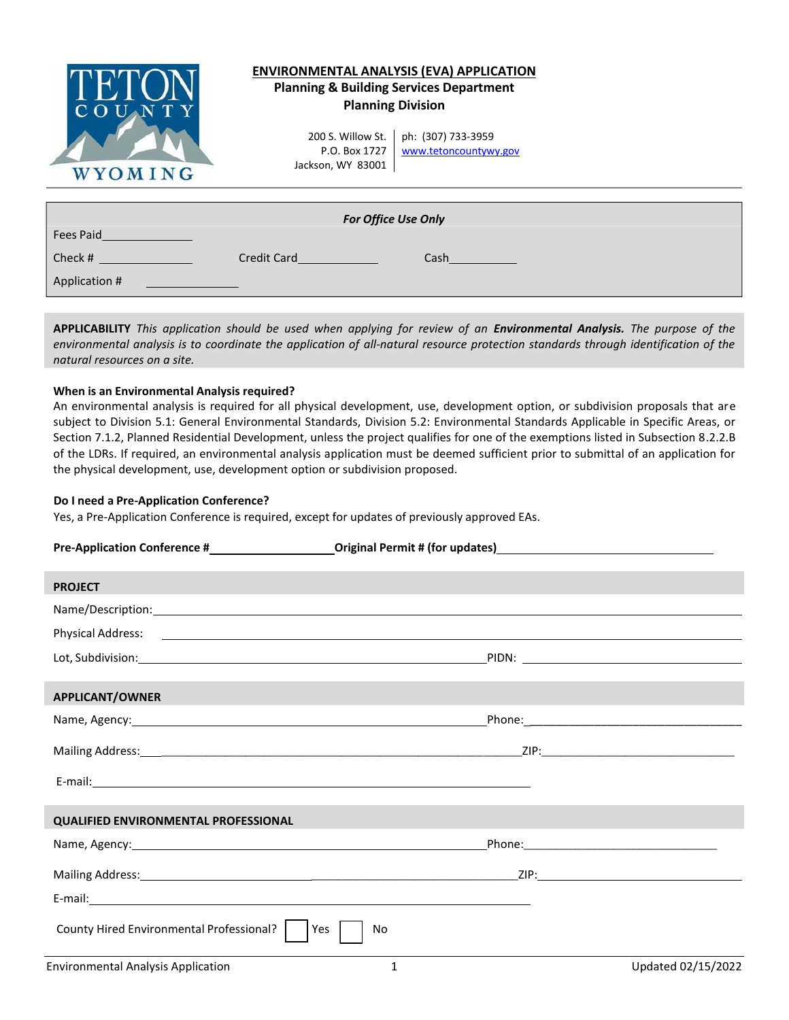| COUNTY  | <b>ENVIRONMENTAL ANALYSIS (EVA) APPLICATION</b><br><b>Planning &amp; Building Services Department</b><br><b>Planning Division</b> |                                             |  |
|---------|-----------------------------------------------------------------------------------------------------------------------------------|---------------------------------------------|--|
| WYOMING | 200 S. Willow St.<br>P.O. Box 1727<br>Jackson, WY 83001                                                                           | ph: (307) 733-3959<br>www.tetoncountywy.gov |  |
|         |                                                                                                                                   |                                             |  |

| For Office Use Only |             |      |  |  |
|---------------------|-------------|------|--|--|
| Fees Paid           |             |      |  |  |
| Check #             | Credit Card | Cash |  |  |
| Application #       |             |      |  |  |

**APPLICABILITY** *This application should be used when applying for review of an Environmental Analysis. The purpose of the environmental analysis is to coordinate the application of all-natural resource protection standards through identification of the natural resources on a site.*

## **When is an Environmental Analysis required?**

An environmental analysis is required for all physical development, use, development option, or subdivision proposals that are subject to Division 5.1: General Environmental Standards, Division 5.2: Environmental Standards Applicable in Specific Areas, or Section 7.1.2, Planned Residential Development, unless the project qualifies for one of the exemptions listed in Subsection 8.2.2.B of the LDRs. If required, an environmental analysis application must be deemed sufficient prior to submittal of an application for the physical development, use, development option or subdivision proposed.

## **Do I need a Pre‐Application Conference?**

Yes, a Pre‐Application Conference is required, except for updates of previously approved EAs.

| <b>PROJECT</b>                                                                                            |                                                                                                                                                                                                                               |
|-----------------------------------------------------------------------------------------------------------|-------------------------------------------------------------------------------------------------------------------------------------------------------------------------------------------------------------------------------|
| Name/Description: Name/Description:                                                                       |                                                                                                                                                                                                                               |
|                                                                                                           |                                                                                                                                                                                                                               |
|                                                                                                           |                                                                                                                                                                                                                               |
| <b>APPLICANT/OWNER</b>                                                                                    | the control of the control of the control of the control of the control of the control of the control of the control of the control of the control of the control of the control of the control of the control of the control |
|                                                                                                           |                                                                                                                                                                                                                               |
|                                                                                                           |                                                                                                                                                                                                                               |
| E-mail: <u>Contract Communication</u>                                                                     |                                                                                                                                                                                                                               |
| <b>QUALIFIED ENVIRONMENTAL PROFESSIONAL</b>                                                               |                                                                                                                                                                                                                               |
|                                                                                                           |                                                                                                                                                                                                                               |
|                                                                                                           |                                                                                                                                                                                                                               |
| E-mail: <u>Alexander Advisory Communications and Communications and Communications and Communications</u> |                                                                                                                                                                                                                               |
| County Hired Environmental Professional?                                                                  | Yes<br>No                                                                                                                                                                                                                     |
| <b>Environmental Analysis Application</b>                                                                 | 1<br>Updated 02/15/2022                                                                                                                                                                                                       |